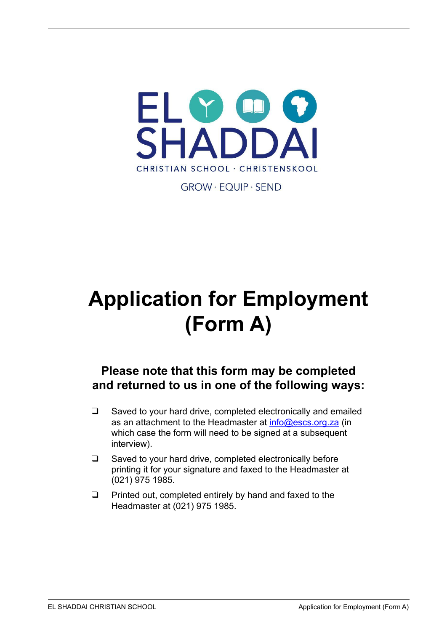

**GROW · FOUIP · SEND** 

# **Application for Employment (Form A)**

## **Please note that this form may be completed and returned to us in one of the following ways:**

- ❑ Saved to your hard drive, completed electronically and emailed as an attachment to the Headmaster at [info@escs.org.za](mailto:info@escs.org.za) (in which case the form will need to be signed at a subsequent interview).
- ❑ Saved to your hard drive, completed electronically before printing it for your signature and faxed to the Headmaster at (021) 975 1985.
- ❑ Printed out, completed entirely by hand and faxed to the Headmaster at (021) 975 1985.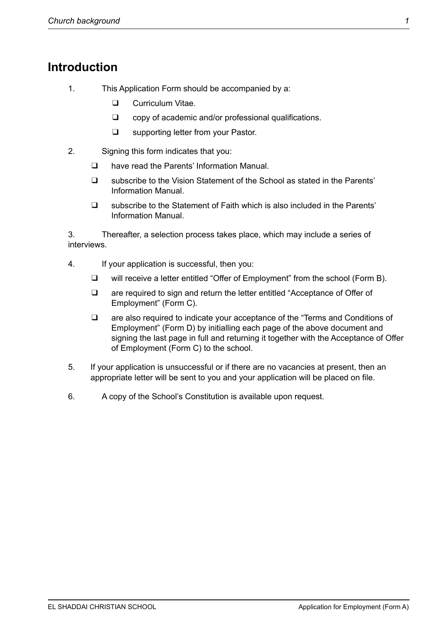#### **Introduction**

- 1. This Application Form should be accompanied by a:
	- ❑ Curriculum Vitae.
	- ❑ copy of academic and/or professional qualifications.
	- ❑ supporting letter from your Pastor.
- 2. Signing this form indicates that you:
	- ❑ have read the Parents' Information Manual.
	- ❑ subscribe to the Vision Statement of the School as stated in the Parents' Information Manual.
	- ❑ subscribe to the Statement of Faith which is also included in the Parents' Information Manual.

3. Thereafter, a selection process takes place, which may include a series of interviews.

- 4. If your application is successful, then you:
	- ❑ will receive a letter entitled "Offer of Employment" from the school (Form B).
	- ❑ are required to sign and return the letter entitled "Acceptance of Offer of Employment" (Form C).
	- ❑ are also required to indicate your acceptance of the "Terms and Conditions of Employment" (Form D) by initialling each page of the above document and signing the last page in full and returning it together with the Acceptance of Offer of Employment (Form C) to the school.
- 5. If your application is unsuccessful or if there are no vacancies at present, then an appropriate letter will be sent to you and your application will be placed on file.
- 6. A copy of the School's Constitution is available upon request.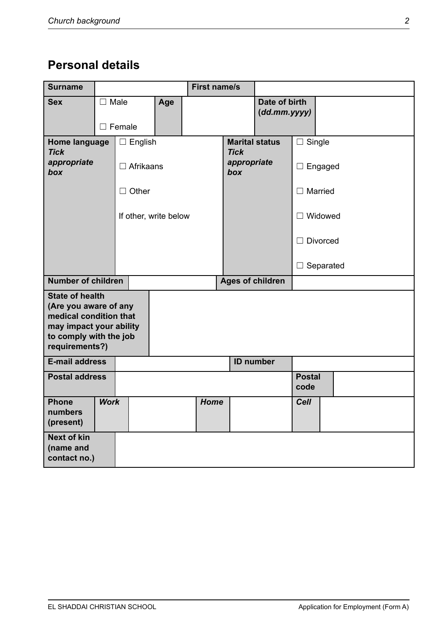# **Personal details**

| <b>Surname</b>                                                                                                                                   |                |               |  |                       | <b>First name/s</b>               |                         |                                 |                  |  |  |
|--------------------------------------------------------------------------------------------------------------------------------------------------|----------------|---------------|--|-----------------------|-----------------------------------|-------------------------|---------------------------------|------------------|--|--|
| <b>Sex</b>                                                                                                                                       | $\square$ Male | $\Box$ Female |  | Age                   |                                   |                         | Date of birth<br>(dd.mm.yyyy)   |                  |  |  |
| $\Box$ English<br>Home language<br><b>Tick</b><br>appropriate<br>$\Box$ Afrikaans<br>box                                                         |                |               |  |                       | <b>Tick</b><br>appropriate<br>box | <b>Marital status</b>   | $\Box$ Single<br>$\Box$ Engaged |                  |  |  |
|                                                                                                                                                  |                | $\Box$ Other  |  |                       |                                   |                         | $\Box$ Married                  |                  |  |  |
|                                                                                                                                                  |                |               |  | If other, write below |                                   |                         |                                 | $\Box$ Widowed   |  |  |
|                                                                                                                                                  |                |               |  |                       |                                   |                         | $\Box$ Divorced                 |                  |  |  |
|                                                                                                                                                  |                |               |  |                       |                                   |                         |                                 | $\Box$ Separated |  |  |
| <b>Number of children</b>                                                                                                                        |                |               |  |                       |                                   | <b>Ages of children</b> |                                 |                  |  |  |
| <b>State of health</b><br>(Are you aware of any<br>medical condition that<br>may impact your ability<br>to comply with the job<br>requirements?) |                |               |  |                       |                                   |                         |                                 |                  |  |  |
| <b>E-mail address</b>                                                                                                                            |                |               |  |                       | <b>ID number</b>                  |                         |                                 |                  |  |  |
| <b>Postal address</b>                                                                                                                            |                |               |  |                       | <b>Postal</b><br>code             |                         |                                 |                  |  |  |
| <b>Phone</b><br>numbers<br>(present)                                                                                                             | <b>Work</b>    |               |  |                       | Home                              |                         |                                 | <b>Cell</b>      |  |  |
| <b>Next of kin</b><br>(name and<br>contact no.)                                                                                                  |                |               |  |                       |                                   |                         |                                 |                  |  |  |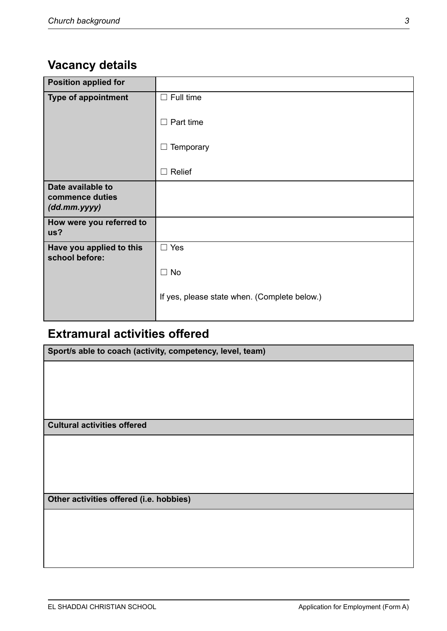# **Vacancy details**

| <b>Position applied for</b>                                |                                              |
|------------------------------------------------------------|----------------------------------------------|
| <b>Type of appointment</b>                                 | $\Box$ Full time                             |
|                                                            | $\Box$ Part time                             |
|                                                            | Temporary<br>⊔                               |
|                                                            | Relief<br>$\Box$                             |
| Date available to<br>commence duties<br>$(dd.mm.$ yyyy $)$ |                                              |
| How were you referred to<br>us?                            |                                              |
| Have you applied to this<br>school before:                 | $\Box$ Yes                                   |
|                                                            | $\Box$ No                                    |
|                                                            | If yes, please state when. (Complete below.) |

# **Extramural activities offered**

| Sport/s able to coach (activity, competency, level, team) |  |  |
|-----------------------------------------------------------|--|--|
|                                                           |  |  |
|                                                           |  |  |
|                                                           |  |  |
|                                                           |  |  |
| <b>Cultural activities offered</b>                        |  |  |
|                                                           |  |  |
|                                                           |  |  |
|                                                           |  |  |
|                                                           |  |  |
| Other activities offered (i.e. hobbies)                   |  |  |
|                                                           |  |  |
|                                                           |  |  |
|                                                           |  |  |
|                                                           |  |  |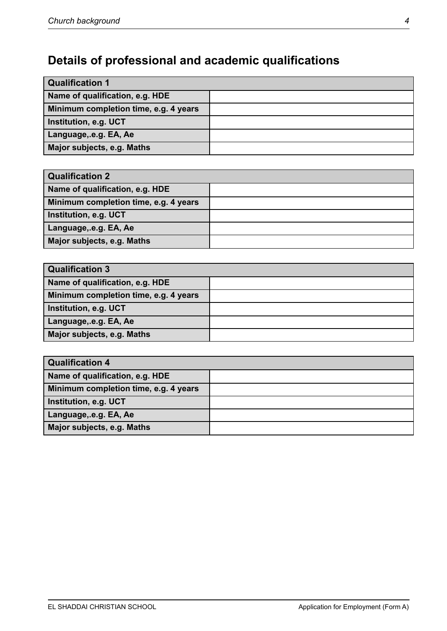# **Details of professional and academic qualifications**

| <b>Qualification 1</b>                |  |  |
|---------------------------------------|--|--|
| Name of qualification, e.g. HDE       |  |  |
| Minimum completion time, e.g. 4 years |  |  |
| Institution, e.g. UCT                 |  |  |
| Language, e.g. EA, Ae                 |  |  |
| Major subjects, e.g. Maths            |  |  |

| <b>Qualification 2</b>                |  |
|---------------------------------------|--|
| Name of qualification, e.g. HDE       |  |
| Minimum completion time, e.g. 4 years |  |
| Institution, e.g. UCT                 |  |
| Language, e.g. EA, Ae                 |  |
| Major subjects, e.g. Maths            |  |

| <b>Qualification 3</b>                |  |  |
|---------------------------------------|--|--|
| Name of qualification, e.g. HDE       |  |  |
| Minimum completion time, e.g. 4 years |  |  |
| Institution, e.g. UCT                 |  |  |
| Language, e.g. EA, Ae                 |  |  |
| Major subjects, e.g. Maths            |  |  |

| <b>Qualification 4</b>                |  |
|---------------------------------------|--|
| Name of qualification, e.g. HDE       |  |
| Minimum completion time, e.g. 4 years |  |
| Institution, e.g. UCT                 |  |
| Language, e.g. EA, Ae                 |  |
| Major subjects, e.g. Maths            |  |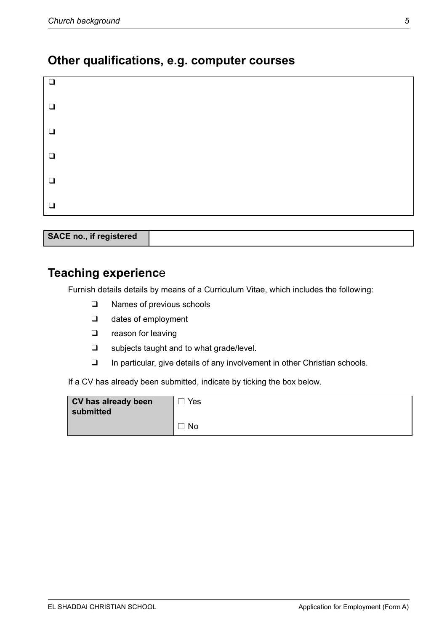#### **Other qualifications, e.g. computer courses**

| $\Box$ |  |  |
|--------|--|--|
| $\Box$ |  |  |
| $\Box$ |  |  |
| $\Box$ |  |  |
| $\Box$ |  |  |
| $\Box$ |  |  |

| SACE no., if registered |  |
|-------------------------|--|
|                         |  |
|                         |  |
|                         |  |

#### **Teaching experienc**e

Furnish details details by means of a Curriculum Vitae, which includes the following:

- ❑ Names of previous schools
- ❑ dates of employment
- ❑ reason for leaving
- ❑ subjects taught and to what grade/level.
- ❑ In particular, give details of any involvement in other Christian schools.

If a CV has already been submitted, indicate by ticking the box below.

| CV has already been<br>submitted | Yes |
|----------------------------------|-----|
|                                  | No  |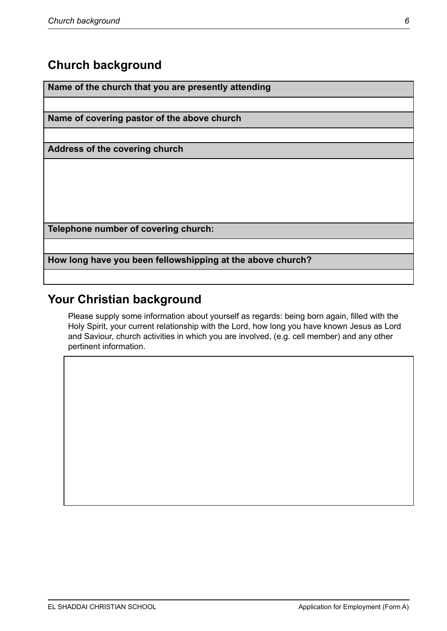### **Church background**

**Name of the church that you are presently attending**

**Name of covering pastor of the above church**

**Address of the covering church**

**Telephone number of covering church:**

**How long have you been fellowshipping at the above church?**

## **Your Christian background**

Please supply some information about yourself as regards: being born again, filled with the Holy Spirit, your current relationship with the Lord, how long you have known Jesus as Lord and Saviour, church activities in which you are involved, (e.g. cell member) and any other pertinent information.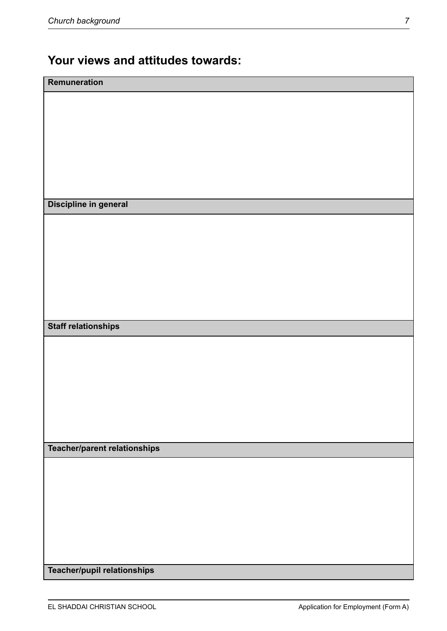## **Your views and attitudes towards:**

| Remuneration                 |
|------------------------------|
|                              |
|                              |
|                              |
|                              |
|                              |
|                              |
| Discipline in general        |
|                              |
|                              |
|                              |
|                              |
|                              |
|                              |
| <b>Staff relationships</b>   |
|                              |
|                              |
|                              |
|                              |
|                              |
|                              |
| Teacher/parent relationships |
|                              |
|                              |
|                              |
|                              |
|                              |
|                              |
| Teacher/pupil relationships  |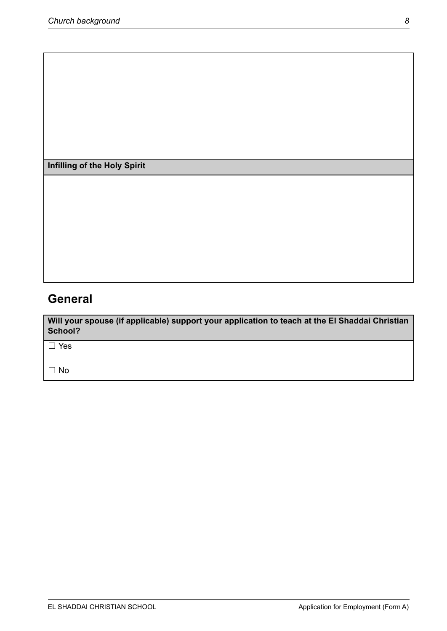**Infilling of the Holy Spirit**

## **General**

**Will your spouse (if applicable) support your application to teach at the El Shaddai Christian School?**

☐ Yes

☐ No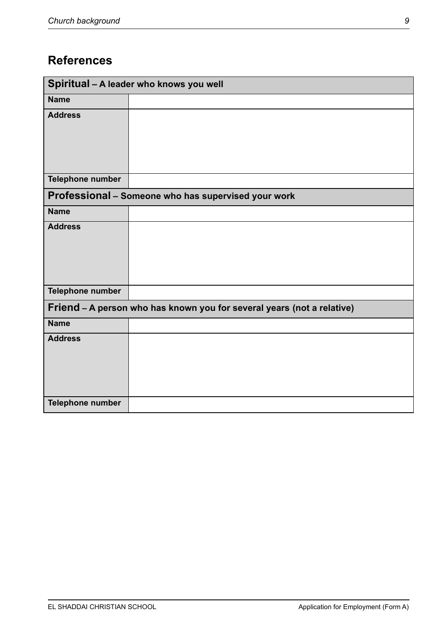## **References**

| Spiritual - A leader who knows you well                                |                                                     |  |  |
|------------------------------------------------------------------------|-----------------------------------------------------|--|--|
| <b>Name</b>                                                            |                                                     |  |  |
| <b>Address</b>                                                         |                                                     |  |  |
| Telephone number                                                       |                                                     |  |  |
|                                                                        | Professional - Someone who has supervised your work |  |  |
| <b>Name</b>                                                            |                                                     |  |  |
| <b>Address</b>                                                         |                                                     |  |  |
| Telephone number                                                       |                                                     |  |  |
| Friend - A person who has known you for several years (not a relative) |                                                     |  |  |
| <b>Name</b>                                                            |                                                     |  |  |
| <b>Address</b>                                                         |                                                     |  |  |
| Telephone number                                                       |                                                     |  |  |